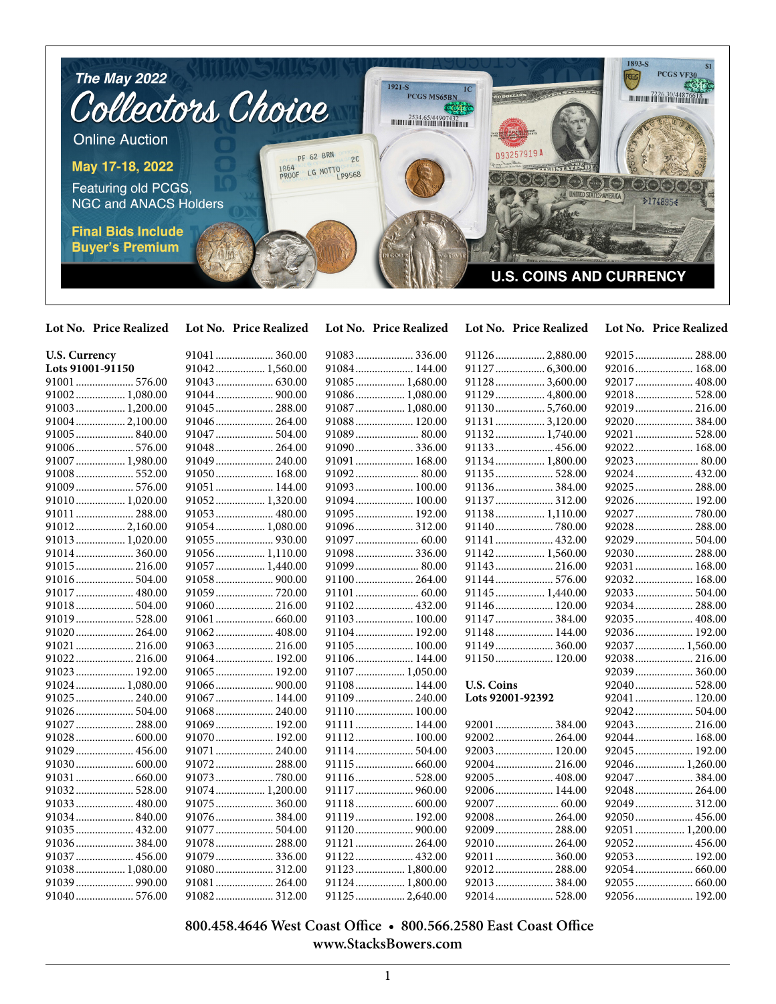

**Lot No. Price Realized Lot No. Price Realized Lot No. Price Realized Lot No. Price Realized Lot No. Price Realized**

| <b>U.S. Currency</b> |                 | 91083 336.00    | 91126 2,880.00    | 92015 288.00    |
|----------------------|-----------------|-----------------|-------------------|-----------------|
| Lots 91001-91150     | 91042 1,560.00  | 91084 144.00    |                   | 92016 168.00    |
| 91001  576.00        |                 | 91085  1,680.00 | 91128 3,600.00    | 92017  408.00   |
| 91002 1,080.00       | 91044 900.00    | 91086 1,080.00  | 91129  4,800.00   | 92018 528.00    |
| 91003 1,200.00       | 91045 288.00    | 91087  1,080.00 | 91130 5,760.00    | 92019 216.00    |
| 91004 2,100.00       | 91046 264.00    | 91088 120.00    | 91131  3,120.00   | 92020 384.00    |
| 91005 840.00         | 91047  504.00   |                 | 91132 1,740.00    | 92021  528.00   |
| 91006 576.00         | 91048 264.00    | 91090 336.00    | 91133 456.00      | 92022 168.00    |
| 91007  1,980.00      | 91049 240.00    | 91091 168.00    | 91134 1,800.00    |                 |
|                      | 91050 168.00    | 91092 80.00     | 91135 528.00      | 92024 432.00    |
|                      | 91051 144.00    | 91093 100.00    |                   |                 |
| 91010 1,020.00       | 91052 1,320.00  | 91094 100.00    | 91137 312.00      | 92026 192.00    |
| 91011  288.00        | 91053 480.00    | 91095 192.00    | 91138 1,110.00    | 92027  780.00   |
| 91012 2,160.00       | 91054 1,080.00  | 91096 312.00    | 91140780.00       | 92028 288.00    |
| 91013 1,020.00       | 91055 930.00    | 91097  60.00    | 91141  432.00     | 92029  504.00   |
| 91014 360.00         | 91056 1,110.00  | 91098 336.00    | 91142 1,560.00    | 92030 288.00    |
| 91015 216.00         | 91057  1,440.00 | 91099 80.00     | 91143 216.00      | 92031  168.00   |
| 91016 504.00         | 91058 900.00    | 91100 264.00    | 91144  576.00     | 92032 168.00    |
| 91017  480.00        | 91059720.00     |                 | 91145  1,440.00   | 92033 504.00    |
| 91018 504.00         |                 | 91102 432.00    |                   |                 |
| 91019 528.00         |                 | 91103 100.00    | 91147  384.00     | 92035 408.00    |
| 91020 264.00         | 91062 408.00    | 91104 192.00    | 91148 144.00      | 92036 192.00    |
| 91021  216.00        | 91063 216.00    | 91105 100.00    |                   | 92037  1,560.00 |
| 91022 216.00         | 91064 192.00    | 91106 144.00    | 91150 120.00      | 92038 216.00    |
| 91023 192.00         | 91065 192.00    | 91107  1,050.00 |                   |                 |
| 91024  1,080.00      | 91066 900.00    | 91108 144.00    | <b>U.S. Coins</b> | 92040  528.00   |
| 91025 240.00         | 91067 144.00    | 91109 240.00    | Lots 92001-92392  | 92041  120.00   |
| 91026 504.00         | 91068 240.00    | 91110 100.00    |                   | 92042 504.00    |
| 91027  288.00        | 91069 192.00    | 91111  144.00   | 92001  384.00     | 92043 216.00    |
| 91028 600.00         | 91070 192.00    | 91112 100.00    | 92002 264.00      | 92044 168.00    |
| 91029  456.00        | 91071  240.00   |                 |                   | 92045 192.00    |
| 91030 600.00         | 91072 288.00    | 91115 660.00    |                   | 92046 1,260.00  |
|                      | 91073780.00     |                 |                   | 92047  384.00   |
| 91032 528.00         | 91074 1,200.00  | 91117  960.00   | 92006 144.00      | 92048 264.00    |
| 91033 480.00         | 91075 360.00    | 91118 600.00    |                   | 92049 312.00    |
| 91034 840.00         | 91076 384.00    | 91119 192.00    |                   | 92050 456.00    |
| 91035  432.00        | 91077 504.00    | 91120 900.00    | 92009  288.00     | 92051  1,200.00 |
| 91036384.00          | 91078 288.00    | 91121  264.00   | 92010 264.00      |                 |
| 91037  456.00        | 91079 336.00    | 91122 432.00    |                   |                 |
| 91038 1,080.00       | 91080 312.00    | 91123 1,800.00  | 92012 288.00      |                 |
| 91039  990.00        | 91081 264.00    | 91124 1,800.00  |                   |                 |
| 91040 576.00         | 91082 312.00    | 91125  2,640.00 | 92014 528.00      | 92056 192.00    |

 **800.458.4646 West Coast Office • 800.566.2580 East Coast Office www.StacksBowers.com**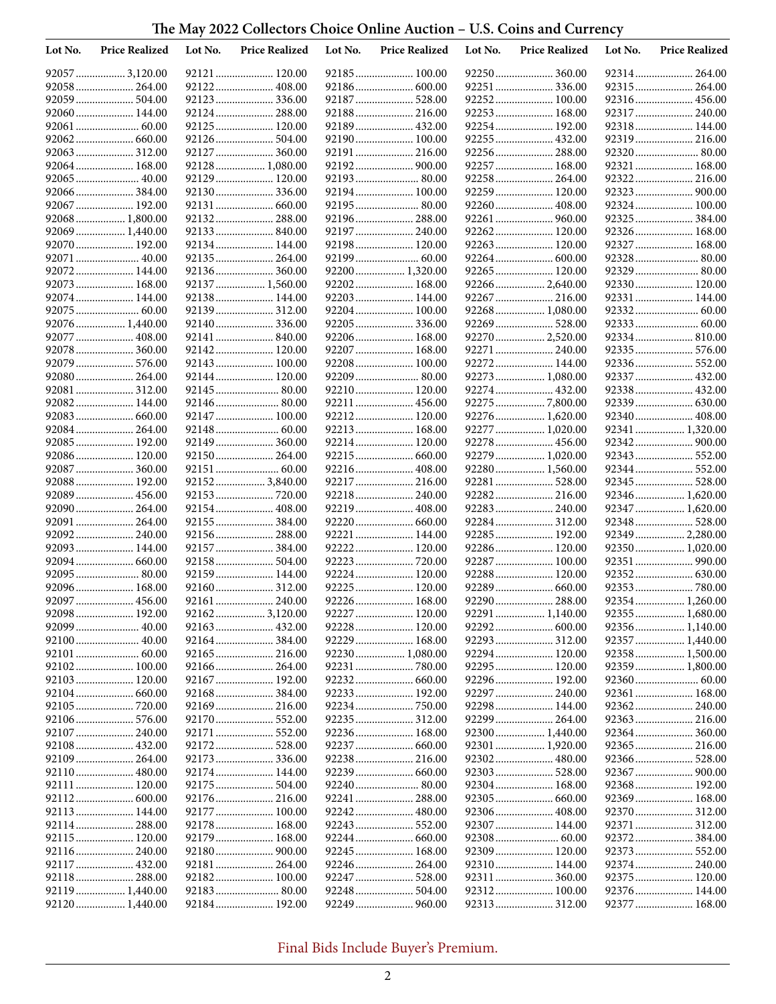## **The May 2022 Collectors Choice Online Auction – U.S. Coins and Currency**

| Lot No. | <b>Price Realized</b>        | Lot No. | <b>Price Realized</b>          | Lot No. | <b>Price Realized</b>         | Lot No. | <b>Price Realized</b>          | Lot No. | <b>Price Realized</b>             |
|---------|------------------------------|---------|--------------------------------|---------|-------------------------------|---------|--------------------------------|---------|-----------------------------------|
|         | 92057  3,120.00              |         | 92121  120.00                  |         | 92185 100.00                  |         | 92250  360.00                  |         | 92314 264.00                      |
|         | 92058 264.00                 |         | 92122 408.00                   |         |                               |         | 92251  336.00                  |         |                                   |
|         | 92059 504.00                 |         | 92123336.00                    |         | 92187  528.00                 |         | 92252 100.00                   |         | 92316 456.00                      |
|         | 92060 144.00                 |         | 92124 288.00                   |         | 92188 216.00                  |         | 92253 168.00                   |         | 92317  240.00                     |
|         |                              |         | 92125 120.00                   |         |                               |         | 92254  192.00                  |         | 92318 144.00                      |
|         |                              |         | 92126 504.00                   |         | 92190 100.00                  |         | 92255  432.00                  |         |                                   |
|         |                              |         | 92127 360.00                   |         | 92191  216.00                 |         | 92256  288.00                  |         | 92320  80.00                      |
|         | 92064 168.00                 |         | 92128 1,080.00                 |         | 92192 900.00                  |         | 92257  168.00                  |         | 92321  168.00                     |
|         | 92065  40.00                 |         | 92129 120.00                   |         |                               |         | 92258 264.00                   |         |                                   |
|         | 92066384.00<br>92067  192.00 |         | 92130 336.00                   |         | 92194 100.00                  |         | 92259  120.00                  |         | 92323  900.00                     |
|         | 92068 1,800.00               |         | 92131  660.00<br>92132 288.00  |         | 92195  80.00<br>92196 288.00  |         | 92260  408.00<br>92261  960.00 |         | 92324 100.00<br>92325  384.00     |
|         | 92069  1,440.00              |         | 92133 840.00                   |         | 92197  240.00                 |         | 92262 120.00                   |         | 92326 168.00                      |
|         | 92070 192.00                 |         | 92134 144.00                   |         | 92198 120.00                  |         | 92263  120.00                  |         | 92327  168.00                     |
|         | 92071  40.00                 |         | 92135 264.00                   |         |                               |         |                                |         |                                   |
|         | 92072 144.00                 |         | 92136 360.00                   |         | 92200  1,320.00               |         | 92265 120.00                   |         | 92329  80.00                      |
|         | 92073 168.00                 |         | 92137  1,560.00                |         | 92202 168.00                  |         | 92266  2,640.00                |         | 92330 120.00                      |
|         | 92074 144.00                 |         | 92138 144.00                   |         | 92203 144.00                  |         | 92267  216.00                  |         | 92331  144.00                     |
|         | 92075  60.00                 |         | 92139 312.00                   |         | 92204 100.00                  |         | 92268  1,080.00                |         |                                   |
|         | 92076 1,440.00               |         | 92140336.00                    |         | 92205  336.00                 |         | 92269  528.00                  |         |                                   |
|         | 92077  408.00                |         | 92141  840.00                  |         | 92206 168.00                  |         | 92270  2,520.00                |         | 92334 810.00                      |
|         | 92078 360.00                 |         | 92142 120.00                   |         | 92207  168.00                 |         | 92271  240.00                  |         | 92335  576.00                     |
|         | 92079  576.00                |         | 92143 100.00                   |         | 92208 100.00                  |         | 92272 144.00                   |         | 92336 552.00                      |
|         | 92080 264.00                 |         | 92144 120.00                   |         |                               |         | 92273  1,080.00                |         | 92337  432.00                     |
|         | 92081  312.00                |         |                                |         | 92210  120.00                 |         | 92274  432.00                  |         | 92338 432.00                      |
|         | 92082 144.00                 |         |                                |         | 92211  456.00                 |         | 92275  7,800.00                |         |                                   |
|         |                              |         | 92147  100.00                  |         | 92212 120.00                  |         | 92276  1,620.00                |         | 92340 408.00                      |
|         | 92084 264.00                 |         |                                |         | 92213 168.00                  |         | 92277  1,020.00                |         | 92341  1,320.00                   |
|         | 92085 192.00                 |         | 92149  360.00                  |         | 92214 120.00                  |         | 92278  456.00                  |         |                                   |
|         | 92086 120.00                 |         | 92150 264.00                   |         |                               |         | 92279  1,020.00                |         |                                   |
|         | 92087  360.00                |         |                                |         | 92216  408.00                 |         | 92280  1,560.00                |         | 92344  552.00                     |
|         | 92088 192.00                 |         | 92152 3,840.00                 |         | 92217  216.00                 |         | 92281  528.00                  |         | 92345  528.00                     |
|         | 92089 456.00                 |         |                                |         | 92218 240.00                  |         | 92282 216.00                   |         | 92346 1,620.00                    |
|         | 92090 264.00                 |         | 92154 408.00                   |         | 92219  408.00                 |         | 92283  240.00                  |         | 92347  1,620.00                   |
|         | 92091  264.00                |         | 92155 384.00                   |         |                               |         | 92284 312.00                   |         |                                   |
|         | 92092 240.00                 |         | 92156 288.00                   |         | 92221  144.00                 |         | 92285  192.00                  |         | 92349  2,280.00                   |
|         | 92093 144.00                 |         | 92157 384.00                   |         | 92222 120.00                  |         | 92286 120.00                   |         | 92350  1,020.00                   |
|         |                              |         | 92158 504.00                   |         | 92223  720.00                 |         | 92287 100.00                   |         | 92351  990.00                     |
|         | 92095 80.00                  |         | 92159 144.00                   |         | 92224 120.00                  |         | 92288 120.00                   |         |                                   |
|         | 92096 168.00                 |         | 92160 312.00                   |         | 92225  120.00                 |         |                                |         |                                   |
|         | 92097  456.00                |         |                                |         | 92226 168.00                  |         | 92290  288.00                  |         | 92354 1,260.00                    |
|         | 92098 192.00                 |         | 92162 3,120.00<br>92163 432.00 |         | 92227  120.00<br>92228 120.00 |         |                                |         | 92355  1,680.00<br>92356 1,140.00 |
|         | 92100 40.00                  |         | 92164384.00                    |         | 92229  168.00                 |         | 92293  312.00                  |         |                                   |
|         |                              |         |                                |         | 92230  1,080.00               |         | 92294 120.00                   |         | 92357  1,440.00<br>92358 1,500.00 |
|         | 92102 100.00                 |         | 92166 264.00                   |         | 92231  780.00                 |         | 92295  120.00                  |         | 92359  1,800.00                   |
|         | 92103 120.00                 |         | 92167 192.00                   |         |                               |         | 92296 192.00                   |         |                                   |
|         |                              |         | 92168 384.00                   |         | 92233  192.00                 |         | 92297  240.00                  |         | 92361  168.00                     |
|         | 92105  720.00                |         |                                |         |                               |         | 92298 144.00                   |         | 92362 240.00                      |
|         | 92106 576.00                 |         |                                |         |                               |         | 92299  264.00                  |         | 92363 216.00                      |
|         | 92107  240.00                |         | 92171  552.00                  |         | 92236 168.00                  |         | 92300 1,440.00                 |         |                                   |
|         | 92108 432.00                 |         |                                |         |                               |         |                                |         | 92365 216.00                      |
|         | 92109 264.00                 |         |                                |         |                               |         | 92302 480.00                   |         |                                   |
|         |                              |         | 92174 144.00                   |         |                               |         | 92303  528.00                  |         |                                   |
|         | 92111  120.00                |         |                                |         |                               |         | 92304 168.00                   |         | 92368 192.00                      |
|         |                              |         |                                |         | 92241  288.00                 |         | 92305  660.00                  |         | 92369  168.00                     |
|         | 92113 144.00                 |         | 92177 100.00                   |         | 92242 480.00                  |         | 92306  408.00                  |         | 92370  312.00                     |
|         | 92114 288.00                 |         | 92178 168.00                   |         |                               |         | 92307  144.00                  |         | 92371  312.00                     |
|         | 92115  120.00                |         | 92179 168.00                   |         |                               |         | 92308 60.00                    |         |                                   |
|         |                              |         | 92180 900.00                   |         | 92245 168.00                  |         | 92309 120.00                   |         | 92373 552.00                      |
|         | 92117 432.00                 |         |                                |         | 92246  264.00                 |         | 92310 144.00                   |         | 92374 240.00                      |
|         | 92118 288.00                 |         | 92182 100.00                   |         | 92247  528.00                 |         | 92311  360.00                  |         | 92375 120.00                      |
|         | 92119 1,440.00               |         |                                |         | 92248  504.00                 |         | 92312 100.00                   |         | 92376 144.00                      |
|         | 92120 1,440.00               |         | 92184 192.00                   |         | 92249  960.00                 |         |                                |         | 92377  168.00                     |

Final Bids Include Buyer's Premium.